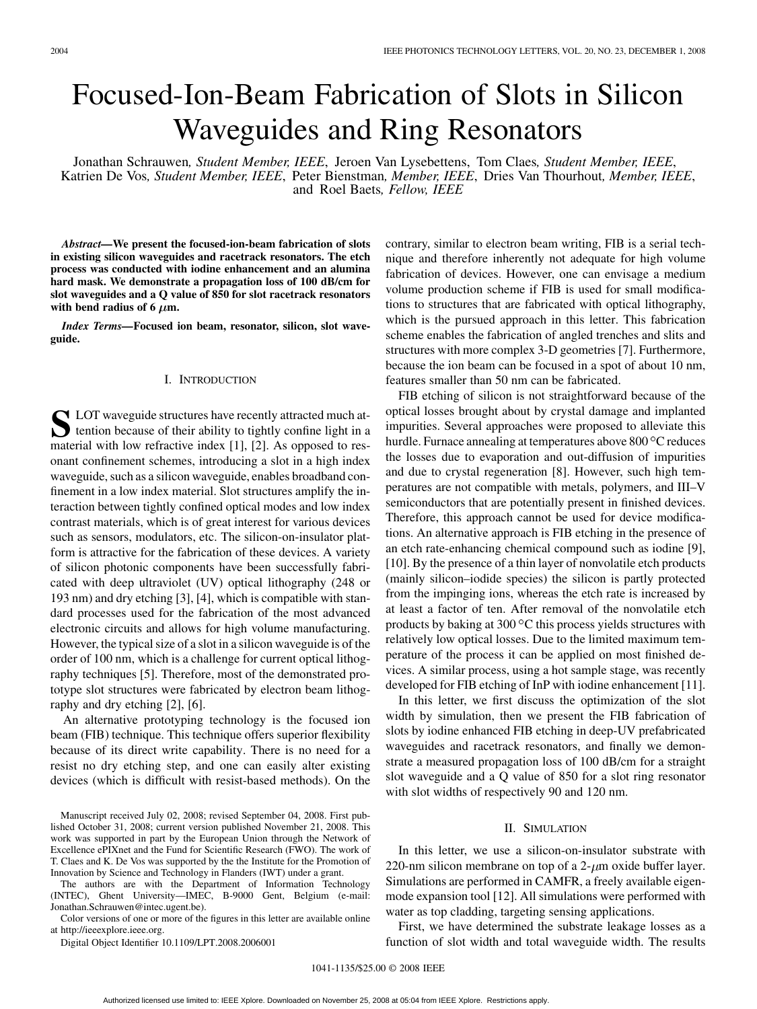# Focused-Ion-Beam Fabrication of Slots in Silicon Waveguides and Ring Resonators

Jonathan Schrauwen*, Student Member, IEEE*, Jeroen Van Lysebettens, Tom Claes*, Student Member, IEEE*, Katrien De Vos*, Student Member, IEEE*, Peter Bienstman*, Member, IEEE*, Dries Van Thourhout*, Member, IEEE*, and Roel Baets*, Fellow, IEEE*

*Abstract—***We present the focused-ion-beam fabrication of slots in existing silicon waveguides and racetrack resonators. The etch process was conducted with iodine enhancement and an alumina hard mask. We demonstrate a propagation loss of 100 dB/cm for slot waveguides and a Q value of 850 for slot racetrack resonators** with bend radius of 6  $\mu$ m.

*Index Terms—***Focused ion beam, resonator, silicon, slot waveguide.**

### I. INTRODUCTION

**S** LOT waveguide structures have recently attracted much attention because of their ability to tightly confine light in a material with low refractive index [1], [2]. As opposed to resonant confinement schemes, introducing a slot in a high index waveguide, such as a silicon waveguide, enables broadband confinement in a low index material. Slot structures amplify the interaction between tightly confined optical modes and low index contrast materials, which is of great interest for various devices such as sensors, modulators, etc. The silicon-on-insulator platform is attractive for the fabrication of these devices. A variety of silicon photonic components have been successfully fabricated with deep ultraviolet (UV) optical lithography (248 or 193 nm) and dry etching [3], [4], which is compatible with standard processes used for the fabrication of the most advanced electronic circuits and allows for high volume manufacturing. However, the typical size of a slot in a silicon waveguide is of the order of 100 nm, which is a challenge for current optical lithography techniques [5]. Therefore, most of the demonstrated prototype slot structures were fabricated by electron beam lithography and dry etching [2], [6].

An alternative prototyping technology is the focused ion beam (FIB) technique. This technique offers superior flexibility because of its direct write capability. There is no need for a resist no dry etching step, and one can easily alter existing devices (which is difficult with resist-based methods). On the

The authors are with the Department of Information Technology (INTEC), Ghent University—IMEC, B-9000 Gent, Belgium (e-mail: Jonathan.Schrauwen@intec.ugent.be).

Color versions of one or more of the figures in this letter are available online at http://ieeexplore.ieee.org.

Digital Object Identifier 10.1109/LPT.2008.2006001

contrary, similar to electron beam writing, FIB is a serial technique and therefore inherently not adequate for high volume fabrication of devices. However, one can envisage a medium volume production scheme if FIB is used for small modifications to structures that are fabricated with optical lithography, which is the pursued approach in this letter. This fabrication scheme enables the fabrication of angled trenches and slits and structures with more complex 3-D geometries [7]. Furthermore, because the ion beam can be focused in a spot of about 10 nm, features smaller than 50 nm can be fabricated.

FIB etching of silicon is not straightforward because of the optical losses brought about by crystal damage and implanted impurities. Several approaches were proposed to alleviate this hurdle. Furnace annealing at temperatures above 800 °C reduces the losses due to evaporation and out-diffusion of impurities and due to crystal regeneration [8]. However, such high temperatures are not compatible with metals, polymers, and III–V semiconductors that are potentially present in finished devices. Therefore, this approach cannot be used for device modifications. An alternative approach is FIB etching in the presence of an etch rate-enhancing chemical compound such as iodine [9], [10]. By the presence of a thin layer of nonvolatile etch products (mainly silicon–iodide species) the silicon is partly protected from the impinging ions, whereas the etch rate is increased by at least a factor of ten. After removal of the nonvolatile etch products by baking at 300 $\mathrm{^{\circ}C}$  this process yields structures with relatively low optical losses. Due to the limited maximum temperature of the process it can be applied on most finished devices. A similar process, using a hot sample stage, was recently developed for FIB etching of InP with iodine enhancement [11].

In this letter, we first discuss the optimization of the slot width by simulation, then we present the FIB fabrication of slots by iodine enhanced FIB etching in deep-UV prefabricated waveguides and racetrack resonators, and finally we demonstrate a measured propagation loss of 100 dB/cm for a straight slot waveguide and a Q value of 850 for a slot ring resonator with slot widths of respectively 90 and 120 nm.

#### II. SIMULATION

In this letter, we use a silicon-on-insulator substrate with 220-nm silicon membrane on top of a  $2-\mu$ m oxide buffer layer. Simulations are performed in CAMFR, a freely available eigenmode expansion tool [12]. All simulations were performed with water as top cladding, targeting sensing applications.

First, we have determined the substrate leakage losses as a function of slot width and total waveguide width. The results

Manuscript received July 02, 2008; revised September 04, 2008. First published October 31, 2008; current version published November 21, 2008. This work was supported in part by the European Union through the Network of Excellence ePIXnet and the Fund for Scientific Research (FWO). The work of T. Claes and K. De Vos was supported by the the Institute for the Promotion of Innovation by Science and Technology in Flanders (IWT) under a grant.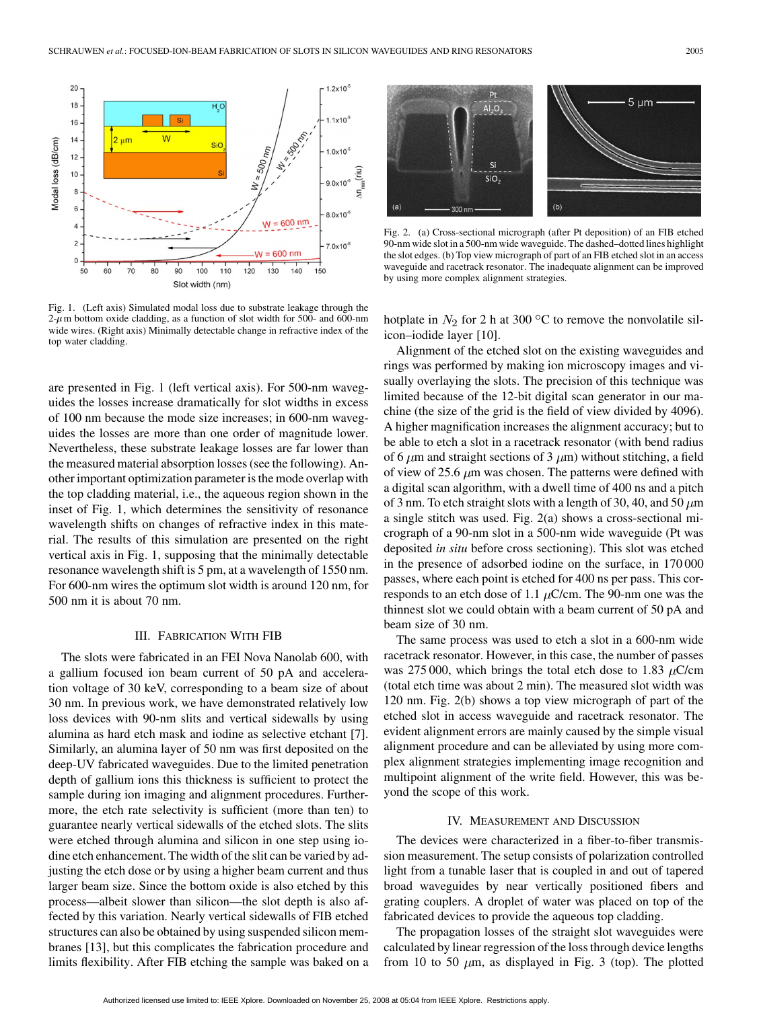

Fig. 1. (Left axis) Simulated modal loss due to substrate leakage through the  $2-\mu$ m bottom oxide cladding, as a function of slot width for 500- and 600-nm wide wires. (Right axis) Minimally detectable change in refractive index of the top water cladding.

are presented in Fig. 1 (left vertical axis). For 500-nm waveguides the losses increase dramatically for slot widths in excess of 100 nm because the mode size increases; in 600-nm waveguides the losses are more than one order of magnitude lower. Nevertheless, these substrate leakage losses are far lower than the measured material absorption losses (see the following). Another important optimization parameter is the mode overlap with the top cladding material, i.e., the aqueous region shown in the inset of Fig. 1, which determines the sensitivity of resonance wavelength shifts on changes of refractive index in this material. The results of this simulation are presented on the right vertical axis in Fig. 1, supposing that the minimally detectable resonance wavelength shift is 5 pm, at a wavelength of 1550 nm. For 600-nm wires the optimum slot width is around 120 nm, for 500 nm it is about 70 nm.

### III. FABRICATION WITH FIB

The slots were fabricated in an FEI Nova Nanolab 600, with a gallium focused ion beam current of 50 pA and acceleration voltage of 30 keV, corresponding to a beam size of about 30 nm. In previous work, we have demonstrated relatively low loss devices with 90-nm slits and vertical sidewalls by using alumina as hard etch mask and iodine as selective etchant [7]. Similarly, an alumina layer of 50 nm was first deposited on the deep-UV fabricated waveguides. Due to the limited penetration depth of gallium ions this thickness is sufficient to protect the sample during ion imaging and alignment procedures. Furthermore, the etch rate selectivity is sufficient (more than ten) to guarantee nearly vertical sidewalls of the etched slots. The slits were etched through alumina and silicon in one step using iodine etch enhancement. The width of the slit can be varied by adjusting the etch dose or by using a higher beam current and thus larger beam size. Since the bottom oxide is also etched by this process—albeit slower than silicon—the slot depth is also affected by this variation. Nearly vertical sidewalls of FIB etched structures can also be obtained by using suspended silicon membranes [13], but this complicates the fabrication procedure and limits flexibility. After FIB etching the sample was baked on a



Fig. 2. (a) Cross-sectional micrograph (after Pt deposition) of an FIB etched 90-nm wide slot in a 500-nm wide waveguide. The dashed–dotted lines highlight the slot edges. (b) Top view micrograph of part of an FIB etched slot in an access waveguide and racetrack resonator. The inadequate alignment can be improved by using more complex alignment strategies.

hotplate in  $N_2$  for 2 h at 300 °C to remove the nonvolatile silicon–iodide layer [10].

Alignment of the etched slot on the existing waveguides and rings was performed by making ion microscopy images and visually overlaying the slots. The precision of this technique was limited because of the 12-bit digital scan generator in our machine (the size of the grid is the field of view divided by 4096). A higher magnification increases the alignment accuracy; but to be able to etch a slot in a racetrack resonator (with bend radius of 6  $\mu$ m and straight sections of 3  $\mu$ m) without stitching, a field of view of 25.6  $\mu$ m was chosen. The patterns were defined with a digital scan algorithm, with a dwell time of 400 ns and a pitch of 3 nm. To etch straight slots with a length of 30, 40, and 50  $\mu$ m a single stitch was used. Fig. 2(a) shows a cross-sectional micrograph of a 90-nm slot in a 500-nm wide waveguide (Pt was deposited *in situ* before cross sectioning). This slot was etched in the presence of adsorbed iodine on the surface, in 170 000 passes, where each point is etched for 400 ns per pass. This corresponds to an etch dose of 1.1  $\mu$ C/cm. The 90-nm one was the thinnest slot we could obtain with a beam current of 50 pA and beam size of 30 nm.

The same process was used to etch a slot in a 600-nm wide racetrack resonator. However, in this case, the number of passes was 275 000, which brings the total etch dose to 1.83  $\mu$ C/cm (total etch time was about 2 min). The measured slot width was 120 nm. Fig. 2(b) shows a top view micrograph of part of the etched slot in access waveguide and racetrack resonator. The evident alignment errors are mainly caused by the simple visual alignment procedure and can be alleviated by using more complex alignment strategies implementing image recognition and multipoint alignment of the write field. However, this was beyond the scope of this work.

#### IV. MEASUREMENT AND DISCUSSION

The devices were characterized in a fiber-to-fiber transmission measurement. The setup consists of polarization controlled light from a tunable laser that is coupled in and out of tapered broad waveguides by near vertically positioned fibers and grating couplers. A droplet of water was placed on top of the fabricated devices to provide the aqueous top cladding.

The propagation losses of the straight slot waveguides were calculated by linear regression of the loss through device lengths from 10 to 50  $\mu$ m, as displayed in Fig. 3 (top). The plotted